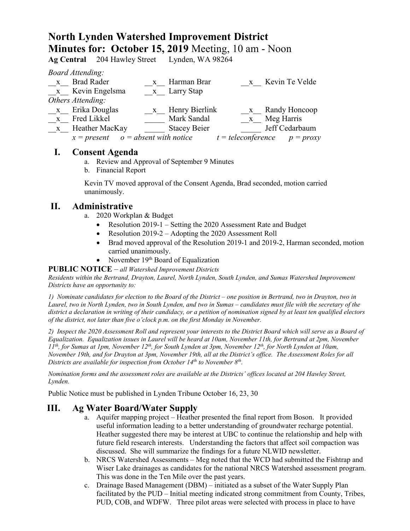# **North Lynden Watershed Improvement District Minutes for: October 15, 2019** Meeting, 10 am - Noon

**Ag Central** 204 Hawley Stre

*Board Attending:*

|              | $D$ <i>val a Thichang.</i>             |              |                     |                                  |
|--------------|----------------------------------------|--------------|---------------------|----------------------------------|
| $\mathbf{X}$ | <b>Brad Rader</b>                      | $\mathbf{X}$ | Harman Brar         | x Kevin Te Velde                 |
|              | x Kevin Engelsma                       |              | x Larry Stap        |                                  |
|              | Others Attending:                      |              |                     |                                  |
| $\mathbf{X}$ | Erika Douglas                          | $\mathbf{X}$ | Henry Bierlink      | x Randy Honcoop                  |
| $\mathbf{X}$ | Fred Likkel                            |              | Mark Sandal         | x Meg Harris                     |
| $\mathbf{X}$ | Heather MacKay                         |              | <b>Stacey Beier</b> | Jeff Cedarbaum                   |
|              | $x = present$ $o = absent$ with notice |              |                     | $t = teleconference$ $p = proxy$ |
|              |                                        |              |                     |                                  |

## **I. Consent Agenda**

- a. Review and Approval of September 9 Minutes
- b. Financial Report

Kevin TV moved approval of the Consent Agenda, Brad seconded, motion carried unanimously.

# **II. Administrative**

- a. 2020 Workplan & Budget
	- Resolution 2019-1 Setting the 2020 Assessment Rate and Budget
	- Resolution 2019-2 Adopting the 2020 Assessment Roll
	- Brad moved approval of the Resolution 2019-1 and 2019-2, Harman seconded, motion carried unanimously.
	- November  $19<sup>th</sup>$  Board of Equalization

#### **PUBLIC NOTICE** – *all Watershed Improvement Districts*

*Residents within the Bertrand, Drayton, Laurel, North Lynden, South Lynden, and Sumas Watershed Improvement Districts have an opportunity to:*

*1) Nominate candidates for election to the Board of the District – one position in Bertrand, two in Drayton, two in Laurel, two in North Lynden, two in South Lynden, and two in Sumas – candidates must file with the secretary of the district a declaration in writing of their candidacy, or a petition of nomination signed by at least ten qualified electors of the district, not later than five o'clock p.m. on the first Monday in November.*

*2) Inspect the 2020 Assessment Roll and represent your interests to the District Board which will serve as a Board of Equalization. Equalization issues in Laurel will be heard at 10am, November 11th, for Bertrand at 2pm, November 11th, for Sumas at 1pm, November 12th, for South Lynden at 3pm, November 12th, for North Lynden at 10am, November 19th, and for Drayton at 3pm, November 19th, all at the District's office. The Assessment Roles for all Districts are available for inspection from October 14th to November 8th.* 

*Nomination forms and the assessment roles are available at the Districts' offices located at 204 Hawley Street, Lynden.*

Public Notice must be published in Lynden Tribune October 16, 23, 30

# **III. Ag Water Board/Water Supply**

- a. Aquifer mapping project Heather presented the final report from Boson. It provided useful information leading to a better understanding of groundwater recharge potential. Heather suggested there may be interest at UBC to continue the relationship and help with future field research interests. Understanding the factors that affect soil compaction was discussed. She will summarize the findings for a future NLWID newsletter.
- b. NRCS Watershed Assessments Meg noted that the WCD had submitted the Fishtrap and Wiser Lake drainages as candidates for the national NRCS Watershed assessment program. This was done in the Ten Mile over the past years.
- c. Drainage Based Management (DBM) initiated as a subset of the Water Supply Plan facilitated by the PUD – Initial meeting indicated strong commitment from County, Tribes, PUD, COB, and WDFW. Three pilot areas were selected with process in place to have